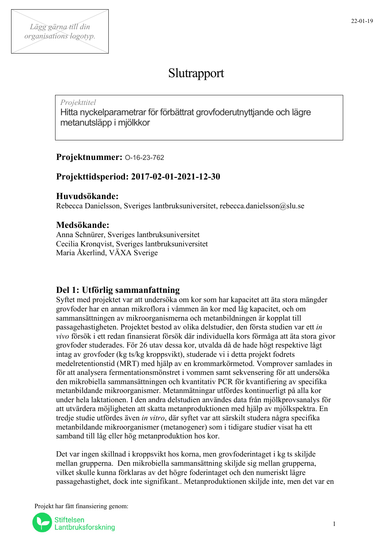# Slutrapport

## *Projekttitel*

Hitta nyckelparametrar för förbättrat grovfoderutnyttjande och lägre metanutsläpp i mjölkkor

# **Projektnummer:** O-16-23-762

# **Projekttidsperiod: 2017-02-01-2021-12-30**

## **Huvudsökande:**

Rebecca Danielsson, Sveriges lantbruksuniversitet, rebecca.danielsson@slu.se

# **Medsökande:**

Anna Schnürer, Sveriges lantbruksuniversitet Cecilia Kronqvist, Sveriges lantbruksuniversitet Maria Åkerlind, VÄXA Sverige

# **Del 1: Utförlig sammanfattning**

Syftet med projektet var att undersöka om kor som har kapacitet att äta stora mängder grovfoder har en annan mikroflora i våmmen än kor med låg kapacitet, och om sammansättningen av mikroorganismerna och metanbildningen är kopplat till passagehastigheten. Projektet bestod av olika delstudier, den första studien var ett *in vivo* försök i ett redan finansierat försök där individuella kors förmåga att äta stora givor grovfoder studerades. För 26 utav dessa kor, utvalda då de hade högt respektive lågt intag av grovfoder (kg ts/kg kroppsvikt), studerade vi i detta projekt fodrets medelretentionstid (MRT) med hjälp av en krommarkörmetod. Vomprover samlades in för att analysera fermentationsmönstret i vommen samt sekvensering för att undersöka den mikrobiella sammansättningen och kvantitativ PCR för kvantifiering av specifika metanbildande mikroorganismer. Metanmätningar utfördes kontinuerligt på alla kor under hela laktationen. I den andra delstudien användes data från mjölkprovsanalys för att utvärdera möjligheten att skatta metanproduktionen med hjälp av mjölkspektra. En tredje studie utfördes även *in vitro*, där syftet var att särskilt studera några specifika metanbildande mikroorganismer (metanogener) som i tidigare studier visat ha ett samband till låg eller hög metanproduktion hos kor.

Det var ingen skillnad i kroppsvikt hos korna, men grovfoderintaget i kg ts skiljde mellan grupperna. Den mikrobiella sammansättning skiljde sig mellan grupperna, vilket skulle kunna förklaras av det högre foderintaget och den numeriskt lägre passagehastighet, dock inte signifikant.. Metanproduktionen skiljde inte, men det var en

Projekt har fått finansiering genom:

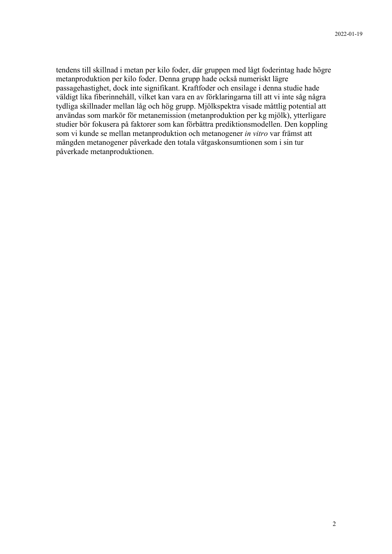tendens till skillnad i metan per kilo foder, där gruppen med lågt foderintag hade högre metanproduktion per kilo foder. Denna grupp hade också numeriskt lägre passagehastighet, dock inte signifikant. Kraftfoder och ensilage i denna studie hade väldigt lika fiberinnehåll, vilket kan vara en av förklaringarna till att vi inte såg några tydliga skillnader mellan låg och hög grupp. Mjölkspektra visade måttlig potential att användas som markör för metanemission (metanproduktion per kg mjölk), ytterligare studier bör fokusera på faktorer som kan förbättra prediktionsmodellen. Den koppling som vi kunde se mellan metanproduktion och metanogener *in vitro* var främst att mängden metanogener påverkade den totala vätgaskonsumtionen som i sin tur påverkade metanproduktionen.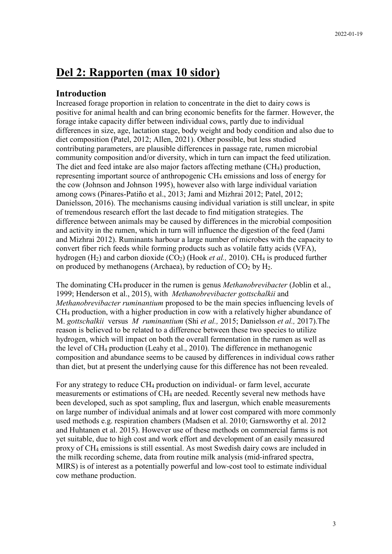# **Del 2: Rapporten (max 10 sidor)**

## **Introduction**

Increased forage proportion in relation to concentrate in the diet to dairy cows is positive for animal health and can bring economic benefits for the farmer. However, the forage intake capacity differ between individual cows, partly due to individual differences in size, age, lactation stage, body weight and body condition and also due to diet composition (Patel, 2012; Allen, 2021). Other possible, but less studied contributing parameters, are plausible differences in passage rate, rumen microbial community composition and/or diversity, which in turn can impact the feed utilization. The diet and feed intake are also major factors affecting methane (CH4) production, representing important source of anthropogenic CH4 emissions and loss of energy for the cow (Johnson and Johnson 1995), however also with large individual variation among cows (Pinares-Patiño et al., 2013; Jami and Mizhrai 2012; Patel, 2012; Danielsson, 2016). The mechanisms causing individual variation is still unclear, in spite of tremendous research effort the last decade to find mitigation strategies. The difference between animals may be caused by differences in the microbial composition and activity in the rumen, which in turn will influence the digestion of the feed (Jami and Mizhrai 2012). Ruminants harbour a large number of microbes with the capacity to convert fiber rich feeds while forming products such as volatile fatty acids (VFA), hydrogen (H<sub>2</sub>) and carbon dioxide (CO<sub>2</sub>) (Hook *et al.*, 2010). CH<sub>4</sub> is produced further on produced by methanogens (Archaea), by reduction of  $CO<sub>2</sub>$  by  $H<sub>2</sub>$ .

The dominating CH4 producer in the rumen is genus *Methanobrevibacter* (Joblin et al., 1999; Henderson et al., 2015), with *Methanobrevibacter gottschalkii* and *Methanobrevibacter ruminantium* proposed to be the main species influencing levels of CH4 production, with a higher production in cow with a relatively higher abundance of M. *gottschalkii* versus *M ruminantium* (Shi *et al.,* 2015; Danielsson *et al.,* 2017).The reason is believed to be related to a difference between these two species to utilize hydrogen, which will impact on both the overall fermentation in the rumen as well as the level of CH4 production (Leahy et al., 2010). The difference in methanogenic composition and abundance seems to be caused by differences in individual cows rather than diet, but at present the underlying cause for this difference has not been revealed.

For any strategy to reduce CH4 production on individual- or farm level, accurate measurements or estimations of CH4 are needed. Recently several new methods have been developed, such as spot sampling, flux and lasergun, which enable measurements on large number of individual animals and at lower cost compared with more commonly used methods e.g. respiration chambers (Madsen et al. 2010; Garnsworthy et al. 2012 and Huhtanen et al. 2015). However use of these methods on commercial farms is not yet suitable, due to high cost and work effort and development of an easily measured proxy of CH4 emissions is still essential. As most Swedish dairy cows are included in the milk recording scheme, data from routine milk analysis (mid-infrared spectra, MIRS) is of interest as a potentially powerful and low-cost tool to estimate individual cow methane production.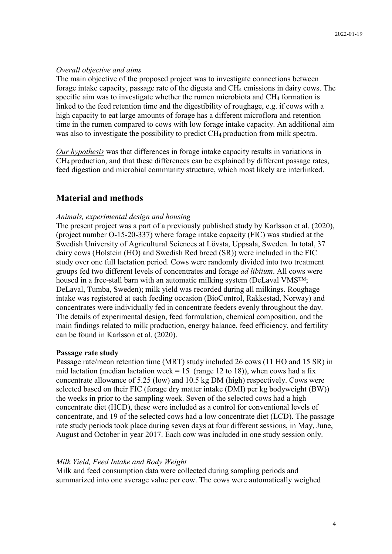## *Overall objective and aims*

The main objective of the proposed project was to investigate connections between forage intake capacity, passage rate of the digesta and  $CH_4$  emissions in dairy cows. The specific aim was to investigate whether the rumen microbiota and CH<sub>4</sub> formation is linked to the feed retention time and the digestibility of roughage, e.g. if cows with a high capacity to eat large amounts of forage has a different microflora and retention time in the rumen compared to cows with low forage intake capacity. An additional aim was also to investigate the possibility to predict CH<sub>4</sub> production from milk spectra.

*Our hypothesis* was that differences in forage intake capacity results in variations in CH4 production, and that these differences can be explained by different passage rates, feed digestion and microbial community structure, which most likely are interlinked.

## **Material and methods**

## *Animals, experimental design and housing*

The present project was a part of a previously published study by Karlsson et al. (2020), (project number O-15-20-337) where forage intake capacity (FIC) was studied at the Swedish University of Agricultural Sciences at Lövsta, Uppsala, Sweden. In total, 37 dairy cows (Holstein (HO) and Swedish Red breed (SR)) were included in the FIC study over one full lactation period. Cows were randomly divided into two treatment groups fed two different levels of concentrates and forage *ad libitum*. All cows were housed in a free-stall barn with an automatic milking system (DeLaval VMS<sup>TM</sup>; DeLaval, Tumba, Sweden); milk yield was recorded during all milkings. Roughage intake was registered at each feeding occasion (BioControl, Rakkestad, Norway) and concentrates were individually fed in concentrate feeders evenly throughout the day. The details of experimental design, feed formulation, chemical composition, and the main findings related to milk production, energy balance, feed efficiency, and fertility can be found in Karlsson et al. (2020).

## **Passage rate study**

Passage rate/mean retention time (MRT) study included 26 cows (11 HO and 15 SR) in mid lactation (median lactation week = 15 (range 12 to 18)), when cows had a fix concentrate allowance of 5.25 (low) and 10.5 kg DM (high) respectively. Cows were selected based on their FIC (forage dry matter intake (DMI) per kg bodyweight (BW)) the weeks in prior to the sampling week. Seven of the selected cows had a high concentrate diet (HCD), these were included as a control for conventional levels of concentrate, and 19 of the selected cows had a low concentrate diet (LCD). The passage rate study periods took place during seven days at four different sessions, in May, June, August and October in year 2017. Each cow was included in one study session only.

## *Milk Yield, Feed Intake and Body Weight*

Milk and feed consumption data were collected during sampling periods and summarized into one average value per cow. The cows were automatically weighed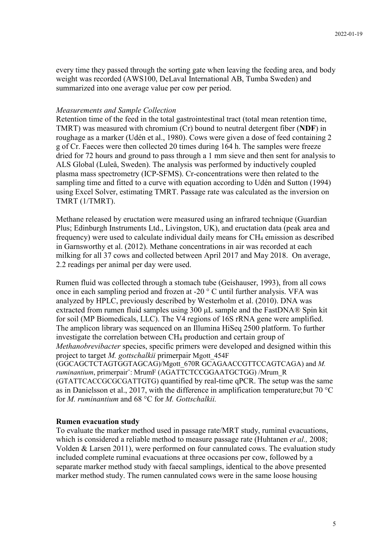every time they passed through the sorting gate when leaving the feeding area, and body weight was recorded (AWS100, DeLaval International AB, Tumba Sweden) and summarized into one average value per cow per period.

#### *Measurements and Sample Collection*

Retention time of the feed in the total gastrointestinal tract (total mean retention time, TMRT) was measured with chromium (Cr) bound to neutral detergent fiber (**NDF**) in roughage as a marker (Udén et al., 1980). Cows were given a dose of feed containing 2 g of Cr. Faeces were then collected 20 times during 164 h. The samples were freeze dried for 72 hours and ground to pass through a 1 mm sieve and then sent for analysis to ALS Global (Luleå, Sweden). The analysis was performed by inductively coupled plasma mass spectrometry (ICP-SFMS). Cr-concentrations were then related to the sampling time and fitted to a curve with equation according to Udén and Sutton (1994) using Excel Solver, estimating TMRT. Passage rate was calculated as the inversion on TMRT (1/TMRT).

Methane released by eructation were measured using an infrared technique (Guardian Plus; Edinburgh Instruments Ltd., Livingston, UK), and eructation data (peak area and frequency) were used to calculate individual daily means for  $CH_4$  emission as described in Garnsworthy et al. (2012). Methane concentrations in air was recorded at each milking for all 37 cows and collected between April 2017 and May 2018. On average, 2.2 readings per animal per day were used.

Rumen fluid was collected through a stomach tube (Geishauser, 1993), from all cows once in each sampling period and frozen at -20 $\degree$  C until further analysis. VFA was analyzed by HPLC, previously described by Westerholm et al. (2010). DNA was extracted from rumen fluid samples using 300 μL sample and the FastDNA® Spin kit for soil (MP Biomedicals, LLC). The V4 regions of 16S rRNA gene were amplified. The amplicon library was sequenced on an Illumina HiSeq 2500 platform. To further investigate the correlation between CH4 production and certain group of *Methanobrevibacter* species, specific primers were developed and designed within this project to target *M. gottschalkii* primerpair Mgott\_454F (GGCAGCTCTAGTGGTAGCAG)/Mgott\_670R GCAGAACCGTTCCAGTCAGA) and *M. ruminantium*, primerpair¨: MrumF (AGATTCTCCGGAATGCTGG) /Mrum\_R (GTATTCACCGCGCGATTGTG) quantified by real-time qPCR. The setup was the same as in Danielsson et al., 2017, with the difference in amplification temperature;but 70 °C

#### **Rumen evacuation study**

for *M. ruminantium* and 68 °C for *M. Gottschalkii.*

To evaluate the marker method used in passage rate/MRT study, ruminal evacuations, which is considered a reliable method to measure passage rate (Huhtanen *et al.,* 2008; Volden & Larsen 2011), were performed on four cannulated cows. The evaluation study included complete ruminal evacuations at three occasions per cow, followed by a separate marker method study with faecal samplings, identical to the above presented marker method study. The rumen cannulated cows were in the same loose housing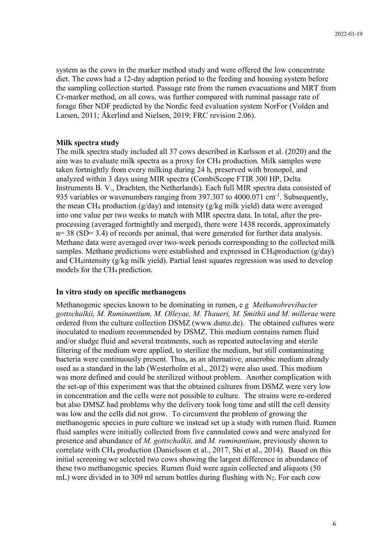system as the cows in the marker method study and were offered the low concentrate diet. The cows had a 12-day adaption period to the feeding and housing system before the sampling collection started. Passage rate from the rumen evacuations and MRT from Cr-marker method, on all cows, was further compared with ruminal passage rate of forage fiber NDF predicted by the Nordic feed evaluation system NorFor (Volden and Larsen, 2011; Åkerlind and Nielsen, 2019; FRC revision 2.06).

#### **Milk spectra study**

The milk spectra study included all 37 cows described in Karlsson et al. (2020) and the aim was to evaluate milk spectra as a proxy for CH4 production. Milk samples were taken fortnightly from every milking during 24 h, preserved with bronopol, and analyzed within 3 days using MIR spectra (CombiScope FTIR 300 HP, Delta Instruments B. V., Drachten, the Netherlands). Each full MIR spectra data consisted of 935 variables or wavenumbers ranging from 397.307 to  $4000.071$  cm<sup>-1</sup>. Subsequently, the mean CH<sub>4</sub> production ( $g$ /day) and intensity ( $g$ /kg milk yield) data were averaged into one value per two weeks to match with MIR spectra data. In total, after the preprocessing (averaged fortnightly and merged), there were 1438 records, approximately  $n= 38$  (SD= 3.4) of records per animal, that were generated for further data analysis. Methane data were averaged over two-week periods corresponding to the collected milk samples. Methane predictions were established and expressed in  $CH_4$ production ( $g$ /day) and CH4intensity (g/kg milk yield). Partial least squares regression was used to develop models for the CH4 prediction.

#### **In vitro study on specific methanogens**

Methanogenic species known to be dominating in rumen, e g *Methanobrevibacter gottschalkii, M. Ruminantium, M. Olleyae, M. Thaueri, M. Smithii and M. millerae* were ordered from the culture collection DSMZ (www.dsmz.de). The obtained cultures were inoculated to medium recommended by DSMZ. This medium contains rumen fluid and/or sludge fluid and several treatments, such as repeated autoclaving and sterile filtering of the medium were applied, to sterilize the medium, but still contaminating bacteria were continuously present. Thus, as an alternative, anaerobic medium already used as a standard in the lab (Westerholm et al., 2012) were also used. This medium was more defined and could be sterilized without problem. Another complication with the set-up of this experiment was that the obtained cultures from DSMZ were very low in concentration and the cells were not possible to culture. The strains were re-ordered but also DMSZ had problems why the delivery took long time and still the cell density was low and the cells did not grow. To circumvent the problem of growing the methanogenic species in pure culture we instead set up a study with rumen fluid. Rumen fluid samples were initially collected from five cannulated cows and were analyzed for presence and abundance of *M. gottschalkii,* and *M. ruminantium*, previously shown to correlate with CH4 production (Danielsson et al., 2017, Shi et al., 2014). Based on this initial screening we selected two cows showing the largest difference in abundance of these two methanogenic species. Rumen fluid were again collected and aliquots (50 mL) were divided in to 309 ml serum bottles during flushing with  $N_2$ . For each cow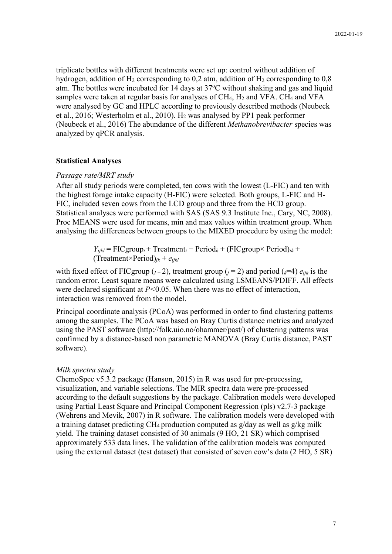triplicate bottles with different treatments were set up: control without addition of hydrogen, addition of  $H_2$  corresponding to 0,2 atm, addition of  $H_2$  corresponding to 0,8 atm. The bottles were incubated for 14 days at  $37^{\circ}$ C without shaking and gas and liquid samples were taken at regular basis for analyses of CH<sub>4</sub>, H<sub>2</sub> and VFA. CH<sub>4</sub> and VFA were analysed by GC and HPLC according to previously described methods (Neubeck et al., 2016; Westerholm et al., 2010). H2 was analysed by PP1 peak performer (Neubeck et al., 2016) The abundance of the different *Methanobrevibacter* species was analyzed by qPCR analysis.

#### **Statistical Analyses**

#### *Passage rate/MRT study*

After all study periods were completed, ten cows with the lowest (L-FIC) and ten with the highest forage intake capacity (H-FIC) were selected. Both groups, L-FIC and H-FIC, included seven cows from the LCD group and three from the HCD group. Statistical analyses were performed with SAS (SAS 9.3 Institute Inc., Cary, NC, 2008). Proc MEANS were used for means, min and max values within treatment group. When analysing the differences between groups to the MIXED procedure by using the model:

> $Y_{ijkl}$  = FICgroup<sub>i</sub> + Treatment<sub>i</sub> + Period<sub>k</sub> + (FICgroup× Period)<sub>ik</sub> + (Treatment×Period)*jk* + *eijkl*

with fixed effect of FICgroup ( $I = 2$ ), treatment group ( $I = 2$ ) and period ( $I = 4$ )  $e_{ijk}$  is the random error. Least square means were calculated using LSMEANS/PDIFF. All effects were declared significant at *P<*0.05. When there was no effect of interaction, interaction was removed from the model.

Principal coordinate analysis (PCoA) was performed in order to find clustering patterns among the samples. The PCoA was based on Bray Curtis distance metrics and analyzed using the PAST software (http://folk.uio.no/ohammer/past/) of clustering patterns was confirmed by a distance-based non parametric MANOVA (Bray Curtis distance, PAST software).

#### *Milk spectra study*

ChemoSpec v5.3.2 package (Hanson, 2015) in R was used for pre-processing, visualization, and variable selections. The MIR spectra data were pre-processed according to the default suggestions by the package. Calibration models were developed using Partial Least Square and Principal Component Regression (pls) v2.7-3 package (Wehrens and Mevik, 2007) in R software. The calibration models were developed with a training dataset predicting CH<sub>4</sub> production computed as  $g/day$  as well as  $g/kg$  milk yield. The training dataset consisted of 30 animals (9 HO, 21 SR) which comprised approximately 533 data lines. The validation of the calibration models was computed using the external dataset (test dataset) that consisted of seven cow's data (2 HO, 5 SR)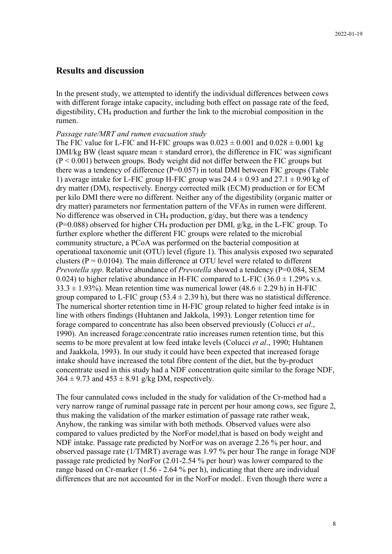## **Results and discussion**

In the present study, we attempted to identify the individual differences between cows with different forage intake capacity, including both effect on passage rate of the feed, digestibility, CH4 production and further the link to the microbial composition in the rumen.

#### *Passage rate/MRT and rumen evacuation study*

The FIC value for L-FIC and H-FIC groups was  $0.023 \pm 0.001$  and  $0.028 \pm 0.001$  kg DMI/kg BW (least square mean  $\pm$  standard error), the difference in FIC was significant  $(P < 0.001)$  between groups. Body weight did not differ between the FIC groups but there was a tendency of difference  $(P=0.057)$  in total DMI between FIC groups (Table 1) average intake for L-FIC group H-FIC group was  $24.4 \pm 0.93$  and  $27.1 \pm 0.90$  kg of dry matter (DM), respectively. Energy corrected milk (ECM) production or for ECM per kilo DMI there were no different. Neither any of the digestibility (organic matter or dry matter) parameters nor fermentation pattern of the VFAs in rumen were different. No difference was observed in  $CH_4$  production,  $g/day$ , but there was a tendency  $(P=0.088)$  observed for higher CH<sub>4</sub> production per DMI, g/kg, in the L-FIC group. To further explore whether the different FIC groups were related to the microbial community structure, a PCoA was performed on the bacterial composition at operational taxonomic unit (OTU) level (figure 1). This analysis exposed two separated clusters ( $P = 0.0104$ ). The main difference at OTU level were related to different *Prevotella spp*. Relative abundance of *Prevotella* showed a tendency (P=0.084, SEM 0.024) to higher relative abundance in H-FIC compared to L-FIC (36.0  $\pm$  1.29% v.s.  $33.3 \pm 1.93\%$ ). Mean retention time was numerical lower (48.6  $\pm$  2.29 h) in H-FIC group compared to L-FIC group  $(53.4 \pm 2.39 \text{ h})$ , but there was no statistical difference. The numerical shorter retention time in H-FIC group related to higher feed intake is in line with others findings (Huhtanen and Jakkola, 1993). Longer retention time for forage compared to concentrate has also been observed previously (Colucci *et al*., 1990). An increased forage:concentrate ratio increases rumen retention time, but this seems to be more prevalent at low feed intake levels (Colucci *et al*., 1990; Huhtanen and Jaakkola, 1993). In our study it could have been expected that increased forage intake should have increased the total fibre content of the diet, but the by-product concentrate used in this study had a NDF concentration quite similar to the forage NDF,  $364 \pm 9.73$  and  $453 \pm 8.91$  g/kg DM, respectively.

The four cannulated cows included in the study for validation of the Cr-method had a very narrow range of ruminal passage rate in percent per hour among cows, see figure 2, thus making the validation of the marker estimation of passage rate rather weak, Anyhow, the ranking was similar with both methods. Observed values were also compared to values predicted by the NorFor model,that is based on body weight and NDF intake. Passage rate predicted by NorFor was on average 2.26 % per hour, and observed passage rate (1/TMRT) average was 1.97 % per hour The range in forage NDF passage rate predicted by NorFor (2.01-2.54 % per hour) was lower compared to the range based on Cr-marker (1.56 - 2.64 % per h), indicating that there are individual differences that are not accounted for in the NorFor model.. Even though there were a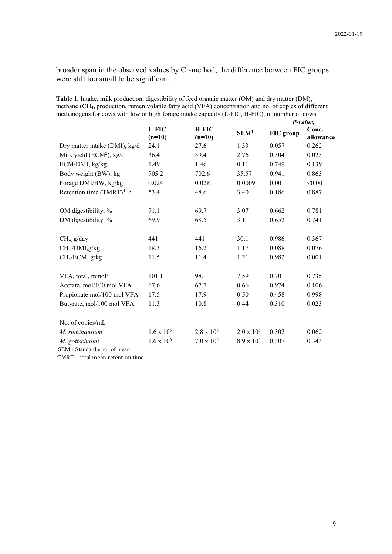broader span in the observed values by Cr-method, the difference between FIC groups were still too small to be significant.

|                                        |                   |                          |                     | P-value,  |                    |
|----------------------------------------|-------------------|--------------------------|---------------------|-----------|--------------------|
|                                        | L-FIC<br>$(n=10)$ | <b>H-FIC</b><br>$(n=10)$ | SEM <sup>1</sup>    | FIC group | Conc.<br>allowance |
| Dry matter intake (DMI), kg/d          | 24.1              | 27.6                     | 1.33                | 0.057     | 0.262              |
| Milk yield $(ECM2)$ , kg/d             | 36.4              | 39.4                     | 2.76                | 0.304     | 0.025              |
| ECM/DMI, kg/kg                         | 1.49              | 1.46                     | 0.11                | 0.749     | 0.139              |
| Body weight (BW), kg                   | 705.2             | 702.6                    | 35.57               | 0.941     | 0.863              |
| Forage DMI/BW, kg/kg                   | 0.024             | 0.028                    | 0.0009              | 0.001     | < 0.001            |
| Retention time (TMRT) <sup>4</sup> , h | 53.4              | 48.6                     | 3.40                | 0.186     | 0.887              |
| OM digestibility, %                    | 71.1              | 69.7                     | 3.07                | 0.662     | 0.781              |
| DM digestibility, %                    | 69.9              | 68.5                     | 3.11                | 0.652     | 0.741              |
| CH <sub>4</sub> , g/day                | 441               | 441                      | 30.1                | 0.986     | 0.367              |
| CH <sub>4</sub> /DMI,g/kg              | 18.3              | 16.2                     | 1.17                | 0.088     | 0.076              |
| CH <sub>4</sub> /ECM, g/kg             | 11.5              | 11.4                     | 1.21                | 0.982     | 0.001              |
| VFA, total, mmol/l                     | 101.1             | 98.1                     | 7.59                | 0.701     | 0.735              |
| Acetate, mol/100 mol VFA               | 67.6              | 67.7                     | 0.66                | 0.974     | 0.106              |
| Propionate mol/100 mol VFA             | 17.5              | 17.9                     | 0.50                | 0.458     | 0.998              |
| Butyrate, mol/100 mol VFA              | 11.3              | 10.8                     | 0.44                | 0.310     | 0.023              |
| No. of copies/mL                       |                   |                          |                     |           |                    |
| M. ruminantium                         | $1.6 \times 10^5$ | $2.8 \times 10^5$        | $2.0 \times 10^5$   | 0.302     | 0.062              |
| M. gottschalkii                        | $1.6 \times 10^6$ | $7.0 \times 10^5$        | $8.9 \times 10^{5}$ | 0.307     | 0.343              |

**Table 1.** Intake, milk production, digestibility of feed organic matter (OM) and dry matter (DM), methane (CH4) production, rumen volatile fatty acid (VFA) concentration and no. of copies of different methanogens for cows with low or high forage intake capacity (L-FIC, H-FIC), n=number of cows.

1SEM - Standard error of mean

2TMRT – total mean retention time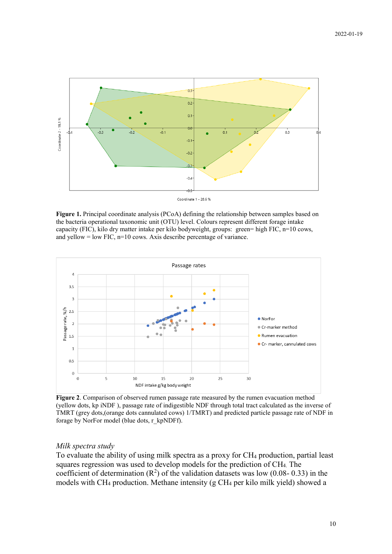

Coordinate 1 - 28.6 %

**Figure 1.** Principal coordinate analysis (PCoA) defining the relationship between samples based on the bacteria operational taxonomic unit (OTU) level. Colours represent different forage intake capacity (FIC), kilo dry matter intake per kilo bodyweight, groups: green= high FIC, n=10 cows, and yellow =  $low$  FIC,  $n=10$  cows. Axis describe percentage of variance.



**Figure 2**. Comparison of observed rumen passage rate measured by the rumen evacuation method (yellow dots, kp iNDF ), passage rate of indigestible NDF through total tract calculated as the inverse of TMRT (grey dots,(orange dots cannulated cows) 1/TMRT) and predicted particle passage rate of NDF in forage by NorFor model (blue dots, r\_kpNDFf).

## *Milk spectra study*

To evaluate the ability of using milk spectra as a proxy for CH4 production, partial least squares regression was used to develop models for the prediction of CH4. The coefficient of determination  $(R^2)$  of the validation datasets was low (0.08-0.33) in the models with CH4 production. Methane intensity (g CH4 per kilo milk yield) showed a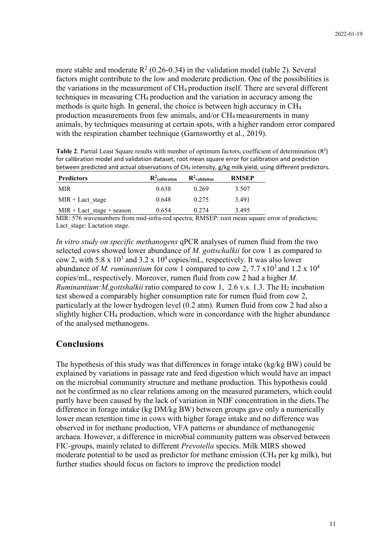more stable and moderate  $R^2$  (0.26-0.34) in the validation model (table 2). Several factors might contribute to the low and moderate prediction. One of the possibilities is the variations in the measurement of  $CH_4$  production itself. There are several different techniques in measuring CH4 production and the variation in accuracy among the methods is quite high. In general, the choice is between high accuracy in CH4 production measurements from few animals, and/or CH4 measurements in many animals, by techniques measuring at certain spots, with a higher random error compared with the respiration chamber technique (Garnsworthy et al., 2019).

Table 2. Partial Least Square results with number of optimum factors, coefficient of determination (R<sup>2</sup>) for calibration model and validation dataset, root mean square error for calibration and prediction between predicted and actual observations of CH<sub>4</sub> intensity, g/kg milk yield, using different predictors.

| <b>Predictors</b>           | $\mathbf{R}^2$ calibration | $\mathbf{R}^2$ validation | <b>RMSEP</b> |
|-----------------------------|----------------------------|---------------------------|--------------|
| MIR.                        | 0.638                      | 0.269                     | 3.507        |
| $MIR +$ Lact stage          | 0.648                      | 0.275                     | 3.491        |
| $MIR +$ Lact stage + season | 0.654                      | 0.274                     | 3.495        |

MIR: 576 wavenumbers from mid-infra-red spectra; RMSEP: root mean square error of prediction; Lact stage: Lactation stage.

*In vitro study on specific methanogens* qPCR analyses of rumen fluid from the two selected cows showed lower abundance of *M. gottschalkii* for cow 1 as compared to cow 2, with 5.8 x  $10^3$  and 3.2 x  $10^4$  copies/mL, respectively. It was also lower abundance of *M. ruminantium* for cow 1 compared to cow 2, 7.7  $\times 10^3$  and 1.2  $\times 10^4$ copies/mL, respectively. Moreover, rumen fluid from cow 2 had a higher *M. Ruminantium:M.gottshalkii* ratio compared to cow 1, 2.6 v.s. 1.3. The H<sub>2</sub> incubation test showed a comparably higher consumption rate for rumen fluid from cow 2, particularly at the lower hydrogen level (0.2 atm). Rumen fluid from cow 2 had also a slightly higher CH4 production, which were in concordance with the higher abundance of the analysed methanogens.

## **Conclusions**

The hypothesis of this study was that differences in forage intake (kg/kg BW) could be explained by variations in passage rate and feed digestion which would have an impact on the microbial community structure and methane production. This hypothesis could not be confirmed as no clear relations among on the measured parameters, which could partly have been caused by the lack of variation in NDF concentration in the diets.The difference in forage intake (kg DM/kg BW) between groups gave only a numerically lower mean retention time in cows with higher forage intake and no difference was observed in for methane production, VFA patterns or abundance of methanogenic archaea. However, a difference in microbial community pattern was observed between FIC-groups, mainly related to different *Prevotella* species. Milk MIRS showed moderate potential to be used as predictor for methane emission (CH4 per kg milk), but further studies should focus on factors to improve the prediction model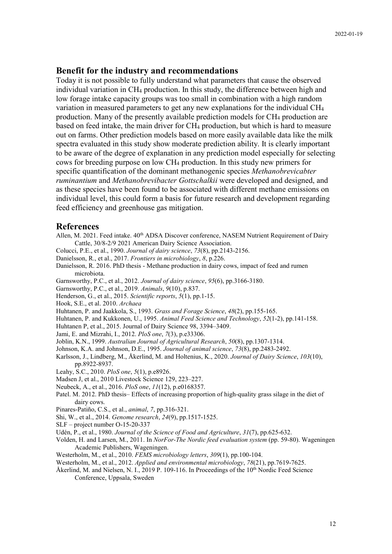#### **Benefit for the industry and recommendations**

Today it is not possible to fully understand what parameters that cause the observed individual variation in CH4 production. In this study, the difference between high and low forage intake capacity groups was too small in combination with a high random variation in measured parameters to get any new explanations for the individual CH4 production. Many of the presently available prediction models for CH4 production are based on feed intake, the main driver for CH4 production, but which is hard to measure out on farms. Other prediction models based on more easily available data like the milk spectra evaluated in this study show moderate prediction ability. It is clearly important to be aware of the degree of explanation in any prediction model especially for selecting cows for breeding purpose on low CH4 production. In this study new primers for specific quantification of the dominant methanogenic species *Methanobrevicabter ruminantium* and *Methanobrevibacter Gottschalkii* were developed and designed, and as these species have been found to be associated with different methane emissions on individual level, this could form a basis for future research and development regarding feed efficiency and greenhouse gas mitigation.

#### **References**

- Allen, M. 2021. Feed intake. 40<sup>th</sup> ADSA Discover conference, NASEM Nutrient Requirement of Dairy Cattle, 30/8-2/9 2021 American Dairy Science Association.
- Colucci, P.E., et al., 1990. *Journal of dairy science*, *73*(8), pp.2143-2156.
- Danielsson, R., et al., 2017. *Frontiers in microbiology*, *8*, p.226.
- Danielsson, R. 2016. PhD thesis Methane production in dairy cows, impact of feed and rumen microbiota.
- Garnsworthy, P.C., et al., 2012. *Journal of dairy science*, *95*(6), pp.3166-3180.
- Garnsworthy, P.C., et al., 2019. *Animals*, *9*(10), p.837.

Henderson, G., et al., 2015. *Scientific reports*, *5*(1), pp.1-15.

- Hook, S.E., et al. 2010. *Archaea*
- Huhtanen, P. and Jaakkola, S., 1993. *Grass and Forage Science*, *48*(2), pp.155-165.
- Huhtanen, P. and Kukkonen, U., 1995. *Animal Feed Science and Technology*, *52*(1-2), pp.141-158.

Huhtanen P, et al., 2015. Journal of Dairy Science 98, 3394–3409.

- Jami, E. and Mizrahi, I., 2012. *PloS one*, *7*(3), p.e33306.
- Joblin, K.N., 1999. *Australian Journal of Agricultural Research*, *50*(8), pp.1307-1314.
- Johnson, K.A. and Johnson, D.E., 1995. *Journal of animal science*, *73*(8), pp.2483-2492.
- Karlsson, J., Lindberg, M., Åkerlind, M. and Holtenius, K., 2020. *Journal of Dairy Science*, *103*(10), pp.8922-8937.
- Leahy, S.C., 2010. *PloS one*, *5*(1), p.e8926.
- Madsen J, et al., 2010 Livestock Science 129, 223–227.
- Neubeck, A., et al., 2016. *PloS one*, *11*(12), p.e0168357.
- Patel. M. 2012. PhD thesis– Effects of increasing proportion of high-quality grass silage in the diet of dairy cows.
- Pinares-Patiño, C.S., et al., *animal*, *7*, pp.316-321.
- Shi, W., et al., 2014. *Genome research*, *24*(9), pp.1517-1525.
- SLF project number O-15-20-337
- Udén, P., et al., 1980. *Journal of the Science of Food and Agriculture*, *31*(7), pp.625-632.
- Volden, H. and Larsen, M., 2011. In *NorFor-The Nordic feed evaluation system* (pp. 59-80). Wageningen Academic Publishers, Wageningen.
- Westerholm, M., et al., 2010. *FEMS microbiology letters*, *309*(1), pp.100-104.
- Westerholm, M., et al., 2012. *Applied and environmental microbiology*, *78*(21), pp.7619-7625.
- Åkerlind, M. and Nielsen, N. I., 2019 P. 109-116. In Proceedings of the  $10<sup>th</sup>$  Nordic Feed Science Conference, Uppsala, Sweden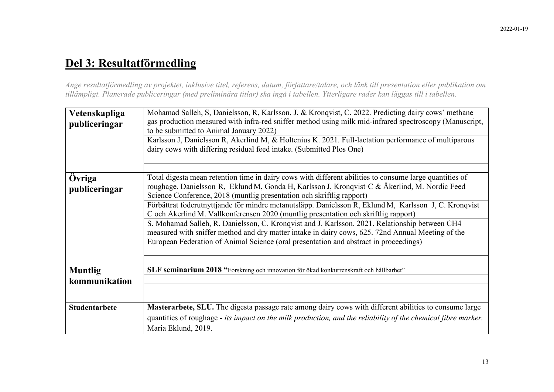# **Del 3: Resultatförmedling**

*Ange resultatförmedling av projektet, inklusive titel, referens, datum, författare/talare, och länk till presentation eller publikation om tillämpligt. Planerade publiceringar (med preliminära titlar) ska ingå i tabellen. Ytterligare rader kan läggas till i tabellen.*

| Vetenskapliga<br>publiceringar  | Mohamad Salleh, S, Danielsson, R, Karlsson, J, & Kronqvist, C. 2022. Predicting dairy cows' methane<br>gas production measured with infra-red sniffer method using milk mid-infrared spectroscopy (Manuscript,<br>to be submitted to Animal January 2022)<br>Karlsson J, Danielsson R, Åkerlind M, & Holtenius K. 2021. Full-lactation performance of multiparous<br>dairy cows with differing residual feed intake. (Submitted Plos One)                                                                                                                                                                                                                                                                                                                                         |
|---------------------------------|-----------------------------------------------------------------------------------------------------------------------------------------------------------------------------------------------------------------------------------------------------------------------------------------------------------------------------------------------------------------------------------------------------------------------------------------------------------------------------------------------------------------------------------------------------------------------------------------------------------------------------------------------------------------------------------------------------------------------------------------------------------------------------------|
| Övriga<br>publiceringar         | Total digesta mean retention time in dairy cows with different abilities to consume large quantities of<br>roughage. Danielsson R, Eklund M, Gonda H, Karlsson J, Kronqvist C & Åkerlind, M. Nordic Feed<br>Science Conference, 2018 (muntlig presentation och skriftlig rapport)<br>Förbättrat foderutnyttjande för mindre metanutsläpp. Danielsson R, Eklund M, Karlsson J, C. Kronqvist<br>C och Åkerlind M. Vallkonferensen 2020 (muntlig presentation och skriftlig rapport)<br>S. Mohamad Salleh, R. Danielsson, C. Kronqvist and J. Karlsson. 2021. Relationship between CH4<br>measured with sniffer method and dry matter intake in dairy cows, 625. 72nd Annual Meeting of the<br>European Federation of Animal Science (oral presentation and abstract in proceedings) |
| <b>Muntlig</b><br>kommunikation | SLF seminarium 2018 "Forskning och innovation för ökad konkurrenskraft och hållbarhet"                                                                                                                                                                                                                                                                                                                                                                                                                                                                                                                                                                                                                                                                                            |
| <b>Studentarbete</b>            | Masterarbete, SLU. The digesta passage rate among dairy cows with different abilities to consume large<br>quantities of roughage - its impact on the milk production, and the reliability of the chemical fibre marker.<br>Maria Eklund, 2019.                                                                                                                                                                                                                                                                                                                                                                                                                                                                                                                                    |